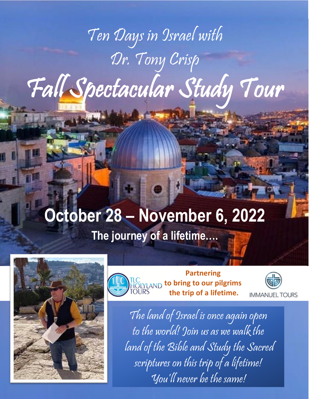# Ten Days in Israel with Dr. Tony Crisp Fall Spectacular Study Tour

# **October 28 – November 6, 2022**









The land of Israel is once again open to the world! Join us as we walk the land of the Bible and Study the Sacred scriptures on this trip of a lifetime! You'll never be the same!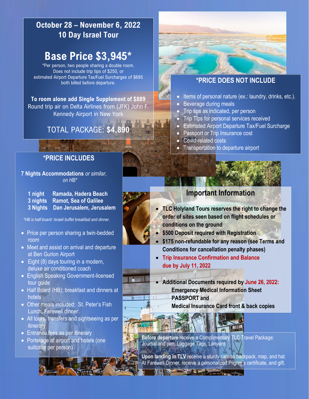## **October 28 – November 6, 2022 10 Day Israel Tour**

# **Base Price \$3,945\***

\*Per person, two people sharing a double room. Does not include trip tips of \$250, or estimated Airport Departure Tax/Fuel Surcharges of \$695 both billed before departure.

**To room alone add Single Supplement of \$889** Round trip air on Delta Airlines from (JFK) John F. Kennedy Airport in New York

# TOTAL PACKAGE: **\$4,890**

## **\*PRICE INCLUDES**

**7 Nights Accommodations** *or similar, on HB\**

| 1 night Ramada, Hadera Beach      |
|-----------------------------------|
| 3 nights Ramot, Sea of Galilee    |
| 3 Nights Dan Jerusalem, Jerusalem |

*\*HB is half-board: Israeli buffet breakfast and dinner.*

- Price per person sharing a twin-bedded room
- Meet and assist on arrival and departure at Ben Gurion Airport
- Eight (8) days touring in a modern, deluxe air conditioned coach
- English Speaking Government-licensed tour guide
- Half Board (HB); breakfast and dinners at hotels
- Other meals included: St. Peter's Fish Lunch, Farewell dinner.
- All tours, transfers and sightseeing as per itinerary
- Entrance fees as per itinerary
- Porterage at airport and hotels (one suitcase per person)



- Items of personal nature (ex.: laundry, drinks, etc.).
- Beverage during meals
- Trip tips as indicated, per person
- Trip Tips for personal services received
- Estimated Airport Departure Tax/Fuel Surcharge
- Passport or Trip Insurance cost
- Covid-related costs
- **Transportation to departure airport**

### **Important Information**

- **TLC Holyland Tours reserves the right to change the order of sites seen based on flight schedules or conditions on the ground**
- **\$500 Deposit required with Registration**
- **\$175 non-refundable for any reason (see Terms and Conditions for cancellation penalty phases)**
- **Trip Insurance Confirmation and Balance due by July 11, 2022**
- **Additional Documents required by June 26, 2022: Emergency Medical Information Sheet PASSPORT and** 
	- **Medical Insurance Card front & back copies**

**Before departure** receive a Complimentary TLC Travel Package: Journal and pen, Luggage Tags, Lanyard.

**Upon landing in TLV** receive a sturdy canvas backpack, map, and hat. At Farewell Dinner, receive a personalized Pilgrim's certificate, and gift.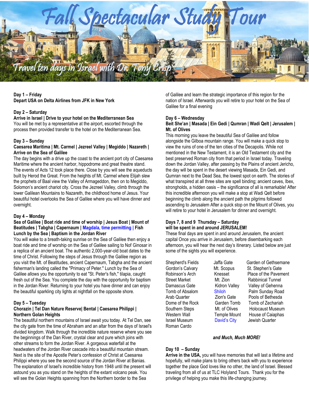

#### **Day 1 – Friday Depart USA on Delta Airlines from JFK in New York**

#### **Day 2 – Saturday**

**Arrive in Israel | Drive to your hotel on the Mediterranean Sea** You will be met by a representative at the airport, escorted through the process then provided transfer to the hotel on the Mediterranean Sea.

#### **Day 3 – Sunday**

#### **Caesarea Maritima | Mt. Carmel | Jezreel Valley | Megiddo | Nazareth | Arrive on the Sea of Galilee**

The day begins with a drive up the coast to the ancient port city of Caesarea Maritime where the ancient harbor, hippodrome and great theatre stand. The events of Acts 12 took place there. Close by you will see the aqueducts built by Herod the Great. From the heights of Mt. Carmel where Elijah slew the prophets of Baal view the Valley of Armageddon, then on to Megiddo, Solomon's ancient chariot city. Cross the Jezreel Valley, climb through the lower Galilean Mountains to Nazareth, the childhood home of Jesus. Your beautiful hotel overlooks the Sea of Galilee where you will have dinner and overnight.

#### **Day 4 – Monday**

#### **Sea of Galilee | Boat ride and time of worship | Jesus Boat | Mount of Beatitudes | Tabgha | Capernaum | Magdala, time permitting | Fish Lunch by the Sea | Baptism in the Jordan River**

You will wake to a breath-taking sunrise on the Sea of Galilee then enjoy a boat ride and time of worship on the Sea of Galilee sailing to Nof Ginosar in a replica of an ancient boat. The authentic 2,000-year-old boat dates to the time of Christ. Following the steps of Jesus through the Galilee region as you visit the Mt. of Beatitudes, ancient Capernaum, Tabgha and the ancient fisherman's landing called the "Primacy of Peter." Lunch by the Sea of Galilee allows you the opportunity to eat "St. Peter's fish," tilapia, caught fresh out of the Sea. You complete the day with the opportunity for baptism in the Jordan River. Returning to your hotel you have dinner and can enjoy the beautiful sparkling city lights at nightfall on the opposite shore.

#### **Day 5 – Tuesday**

#### **Chorazin | Tel Dan Nature Reserve| Bental | Caesarea Philippi | Northern Golan Heights**

The beautiful northern mountains of Israel await you today. At Tel Dan, see the city gate from the time of Abraham and an altar from the days of Israel's divided kingdom. Walk through the incredible nature reserve where you see the beginnings of the Dan River, crystal clear and pure which joins with other streams to form the Jordan River. A gorgeous waterfall at the headwaters of the Jordan River cascade into a beautiful mountain stream. Next is the site of the Apostle Peter's confession of Christ at Caesarea Philippi where you see the second source of the Jordan River at Banias. The explanation of Israel's incredible history from 1948 until the present will astound you as you stand on the heights of the extant volcano peak. You will see the Golan Heights spanning from the Northern border to the Sea

of Galilee and learn the strategic importance of this region for the nation of Israel. Afterwards you will retire to your hotel on the Sea of Galilee for a final evening

#### **Day 6 – Wednesday**

#### **Beit She'an | Masada | Ein Gedi | Qumran | Wadi Qelt | Jerusalem | Mt. of Olives**

This morning you leave the beautiful Sea of Galilee and follow alongside the Gilboa mountain range. You will make a quick stop to view the ruins of one of the ten cities of the Decapolis. While not mentioned in the New Testament, it is an Old Testament city and the best preserved Roman city from that period in Israel today. Traveling down the Jordan Valley, after passing by the Plains of ancient Jericho, the day will be spent in the desert viewing Masada, Ein Gedi, and Qumran next to the Dead Sea, the lowest spot on earth. The stories of what transpired at all three sites are spell binding; ancient caves, Ibex, strongholds, a hidden oasis – the significance of all is remarkable! After this incredible afternoon you will make a stop at Wadi Qelt before beginning the climb along the ancient path the pilgrims followed ascending to Jerusalem After a quick stop on the Mount of Olives, you will retire to your hotel in Jerusalem for dinner and overnight.

#### **Days 7, 8 and 9 Thursday – Saturday will be spent in and around JERUSALEM!**

These final days are spent in and around Jerusalem, the ancient capital Once you arrive in Jerusalem, before disembarking each afternoon, you will hear the next day's itinerary. Listed below are just some of the sights you will experience.

Israel Museum David's City Jewish Quarter Roman Cardo

Shepherd's Fields Jaffa Gate Garden of Gethsemane Gordon's Calvary Mt. Scopus St. Stephen's Gate Robinson's Arch Knesset Place of the Pavement Street Market Mult. Zion Rabbinical Tunnel Damascus Gate Kidron Valley Valley of Gehenna Tomb of Absalom Shiloh Palm Sunday Road Arab Quarter Zion's Gate Pools of Bethesda Dome of the Rock Garden Tomb Tomb of Zechariah Southern Steps **Mt.** of Olives Holocaust Museum Western Wall **Temple Mount** House of Caiaphas

#### *and Much, Much MORE!*

#### **Day 10 – Sunday**

**Arrive in the USA,** you will have memories that will last a lifetime and hopefully, will make plans to bring others back with you to experience together the place God loves like no other, the land of Israel. Blessed traveling from all of us at TLC Holyland Tours. Thank you for the privilege of helping you make this life-changing journey.